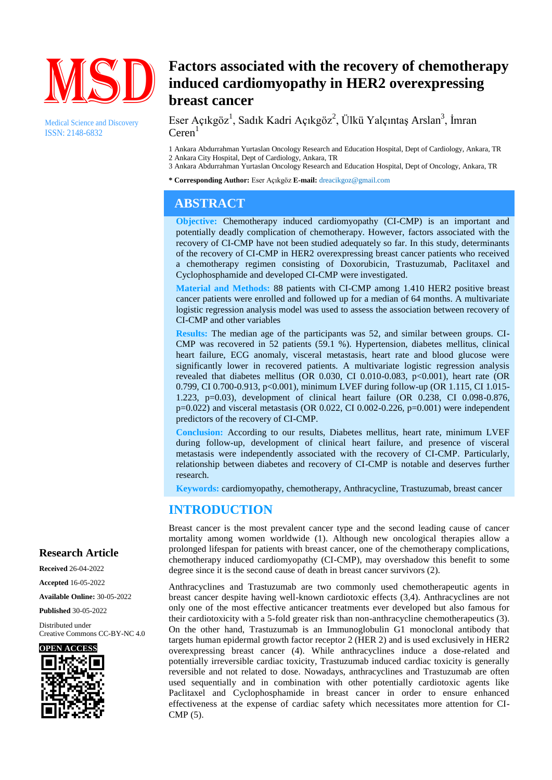

Medical Science and Discovery ISSN: 2148-6832

# **Factors associated with the recovery of chemotherapy induced cardiomyopathy in HER2 overexpressing breast cancer**

Eser Açıkgöz<sup>1</sup>, Sadık Kadri Açıkgöz<sup>2</sup>, Ülkü Yalçıntaş Arslan<sup>3</sup>, İmran  $Ceren<sup>1</sup>$ 

1 Ankara Abdurrahman Yurtaslan Oncology Research and Education Hospital, Dept of Cardiology, Ankara, TR 2 Ankara City Hospital, Dept of Cardiology, Ankara, TR

3 Ankara Abdurrahman Yurtaslan Oncology Research and Education Hospital, Dept of Oncology, Ankara, TR

**\* Corresponding Author:** Eser Açıkgöz **E-mail:** dreacikgoz@gmail.com

# **ABSTRACT**

**Objective:** Chemotherapy induced cardiomyopathy (CI-CMP) is an important and potentially deadly complication of chemotherapy. However, factors associated with the recovery of CI-CMP have not been studied adequately so far. In this study, determinants of the recovery of CI-CMP in HER2 overexpressing breast cancer patients who received a chemotherapy regimen consisting of Doxorubicin, Trastuzumab, Paclitaxel and Cyclophosphamide and developed CI-CMP were investigated.

**Material and Methods:** 88 patients with CI-CMP among 1.410 HER2 positive breast cancer patients were enrolled and followed up for a median of 64 months. A multivariate logistic regression analysis model was used to assess the association between recovery of CI-CMP and other variables

**Results:** The median age of the participants was 52, and similar between groups. CI-CMP was recovered in 52 patients (59.1 %). Hypertension, diabetes mellitus, clinical heart failure, ECG anomaly, visceral metastasis, heart rate and blood glucose were significantly lower in recovered patients. A multivariate logistic regression analysis revealed that diabetes mellitus (OR 0.030, CI 0.010-0.083, p<0.001), heart rate (OR 0.799, CI 0.700-0.913, p<0.001), minimum LVEF during follow-up (OR 1.115, CI 1.015- 1.223, p=0.03), development of clinical heart failure (OR 0.238, CI 0.098-0.876,  $p=0.022$ ) and visceral metastasis (OR 0.022, CI 0.002-0.226,  $p=0.001$ ) were independent predictors of the recovery of CI-CMP.

**Conclusion:** According to our results, Diabetes mellitus, heart rate, minimum LVEF during follow-up, development of clinical heart failure, and presence of visceral metastasis were independently associated with the recovery of CI-CMP. Particularly, relationship between diabetes and recovery of CI-CMP is notable and deserves further research.

**Keywords:** cardiomyopathy, chemotherapy, Anthracycline, Trastuzumab, breast cancer

### **INTRODUCTION**

Breast cancer is the most prevalent cancer type and the second leading cause of cancer mortality among women worldwide (1). Although new oncological therapies allow a prolonged lifespan for patients with breast cancer, one of the chemotherapy complications, chemotherapy induced cardiomyopathy (CI-CMP), may overshadow this benefit to some degree since it is the second cause of death in breast cancer survivors (2).

Anthracyclines and Trastuzumab are two commonly used chemotherapeutic agents in breast cancer despite having well-known cardiotoxic effects (3,4). Anthracyclines are not only one of the most effective anticancer treatments ever developed but also famous for their cardiotoxicity with a 5-fold greater risk than non-anthracycline chemotherapeutics (3). On the other hand, Trastuzumab is an Immunoglobulin G1 monoclonal antibody that targets human epidermal growth factor receptor 2 (HER 2) and is used exclusively in HER2 overexpressing breast cancer (4). While anthracyclines induce a dose-related and potentially irreversible cardiac toxicity, Trastuzumab induced cardiac toxicity is generally reversible and not related to dose. Nowadays, anthracyclines and Trastuzumab are often used sequentially and in combination with other potentially cardiotoxic agents like Paclitaxel and Cyclophosphamide in breast cancer in order to ensure enhanced effectiveness at the expense of cardiac safety which necessitates more attention for CI-CMP (5).

### **Research Article**

**Received** 26-04-2022

**Accepted** 16-05-2022

**Available Online:** 30-05-2022

**Published** 30-05-2022

Distributed under Creative Commons CC-BY-NC 4.0

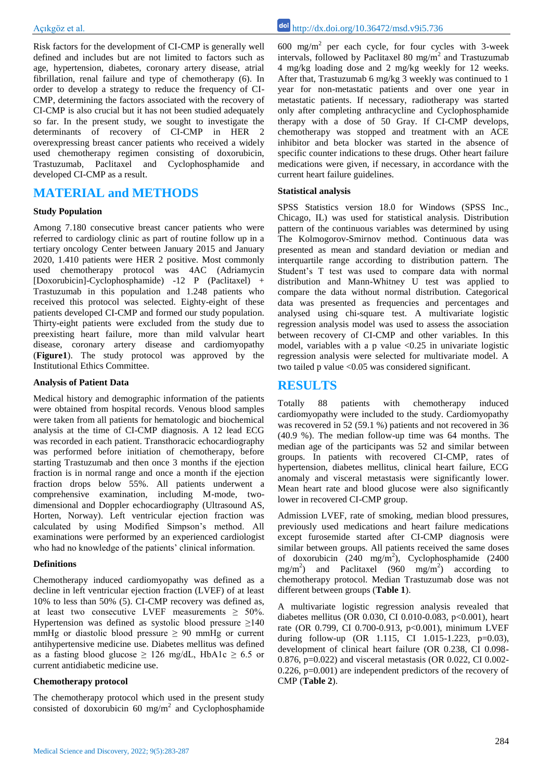Risk factors for the development of CI-CMP is generally well defined and includes but are not limited to factors such as age, hypertension, diabetes, coronary artery disease, atrial fibrillation, renal failure and type of chemotherapy (6). In order to develop a strategy to reduce the frequency of CI-CMP, determining the factors associated with the recovery of CI-CMP is also crucial but it has not been studied adequately so far. In the present study, we sought to investigate the determinants of recovery of CI-CMP in HER 2 overexpressing breast cancer patients who received a widely used chemotherapy regimen consisting of doxorubicin, Trastuzumab, Paclitaxel and Cyclophosphamide and developed CI-CMP as a result.

## **MATERIAL and METHODS**

#### **Study Population**

Among 7.180 consecutive breast cancer patients who were referred to cardiology clinic as part of routine follow up in a tertiary oncology Center between January 2015 and January 2020, 1.410 patients were HER 2 positive. Most commonly used chemotherapy protocol was 4AC (Adriamycin [Doxorubicin]-Cyclophosphamide) -12 P (Paclitaxel) + Trastuzumab in this population and 1.248 patients who received this protocol was selected. Eighty-eight of these patients developed CI-CMP and formed our study population. Thirty-eight patients were excluded from the study due to preexisting heart failure, more than mild valvular heart disease, coronary artery disease and cardiomyopathy (**Figure1**). The study protocol was approved by the Institutional Ethics Committee.

#### **Analysis of Patient Data**

Medical history and demographic information of the patients were obtained from hospital records. Venous blood samples were taken from all patients for hematologic and biochemical analysis at the time of CI-CMP diagnosis. A 12 lead ECG was recorded in each patient. Transthoracic echocardiography was performed before initiation of chemotherapy, before starting Trastuzumab and then once 3 months if the ejection fraction is in normal range and once a month if the ejection fraction drops below 55%. All patients underwent a comprehensive examination, including M-mode, twodimensional and Doppler echocardiography (Ultrasound AS, Horten, Norway). Left ventricular ejection fraction was calculated by using Modified Simpson's method. All examinations were performed by an experienced cardiologist who had no knowledge of the patients' clinical information.

#### **Definitions**

Chemotherapy induced cardiomyopathy was defined as a decline in left ventricular ejection fraction (LVEF) of at least 10% to less than 50% (5). CI-CMP recovery was defined as, at least two consecutive LVEF measurements  $\geq 50\%$ . Hypertension was defined as systolic blood pressure  $\geq 140$ mmHg or diastolic blood pressure  $\geq 90$  mmHg or current antihypertensive medicine use. Diabetes mellitus was defined as a fasting blood glucose  $\geq$  126 mg/dL, HbA1c  $\geq$  6.5 or current antidiabetic medicine use.

#### **Chemotherapy protocol**

The chemotherapy protocol which used in the present study consisted of doxorubicin  $60 \text{ mg/m}^2$  and Cyclophosphamide

 $600 \text{ mg/m}^2$  per each cycle, for four cycles with 3-week intervals, followed by Paclitaxel 80 mg/m<sup>2</sup> and Trastuzumab 4 mg/kg loading dose and 2 mg/kg weekly for 12 weeks. After that, Trastuzumab 6 mg/kg 3 weekly was continued to 1 year for non-metastatic patients and over one year in metastatic patients. If necessary, radiotherapy was started only after completing anthracycline and Cyclophosphamide therapy with a dose of 50 Gray. If CI-CMP develops, chemotherapy was stopped and treatment with an ACE inhibitor and beta blocker was started in the absence of specific counter indications to these drugs. Other heart failure medications were given, if necessary, in accordance with the current heart failure guidelines.

#### **Statistical analysis**

SPSS Statistics version 18.0 for Windows (SPSS Inc., Chicago, IL) was used for statistical analysis. Distribution pattern of the continuous variables was determined by using The Kolmogorov-Smirnov method. Continuous data was presented as mean and standard deviation or median and interquartile range according to distribution pattern. The Student's T test was used to compare data with normal distribution and Mann-Whitney U test was applied to compare the data without normal distribution. Categorical data was presented as frequencies and percentages and analysed using chi-square test. A multivariate logistic regression analysis model was used to assess the association between recovery of CI-CMP and other variables. In this model, variables with a p value  $\langle 0.25 \rangle$  in univariate logistic regression analysis were selected for multivariate model. A two tailed p value <0.05 was considered significant.

### **RESULTS**

Totally 88 patients with chemotherapy induced cardiomyopathy were included to the study. Cardiomyopathy was recovered in 52 (59.1 %) patients and not recovered in 36 (40.9 %). The median follow-up time was 64 months. The median age of the participants was 52 and similar between groups. In patients with recovered CI-CMP, rates of hypertension, diabetes mellitus, clinical heart failure, ECG anomaly and visceral metastasis were significantly lower. Mean heart rate and blood glucose were also significantly lower in recovered CI-CMP group.

Admission LVEF, rate of smoking, median blood pressures, previously used medications and heart failure medications except furosemide started after CI-CMP diagnosis were similar between groups. All patients received the same doses of doxorubicin  $(240 \text{ mg/m}^2)$ , Cyclophosphamide (2400  $\text{mg/m}^2$ ) and Paclitaxel (960 mg/m<sup>2</sup>) according to chemotherapy protocol. Median Trastuzumab dose was not different between groups (**Table 1**).

A multivariate logistic regression analysis revealed that diabetes mellitus (OR 0.030, CI 0.010-0.083, p<0.001), heart rate (OR 0.799, CI 0.700-0.913, p<0.001), minimum LVEF during follow-up (OR 1.115, CI 1.015-1.223, p=0.03), development of clinical heart failure (OR 0.238, CI 0.098- 0.876, p=0.022) and visceral metastasis (OR 0.022, CI 0.002- 0.226, p=0.001) are independent predictors of the recovery of CMP (**Table 2**).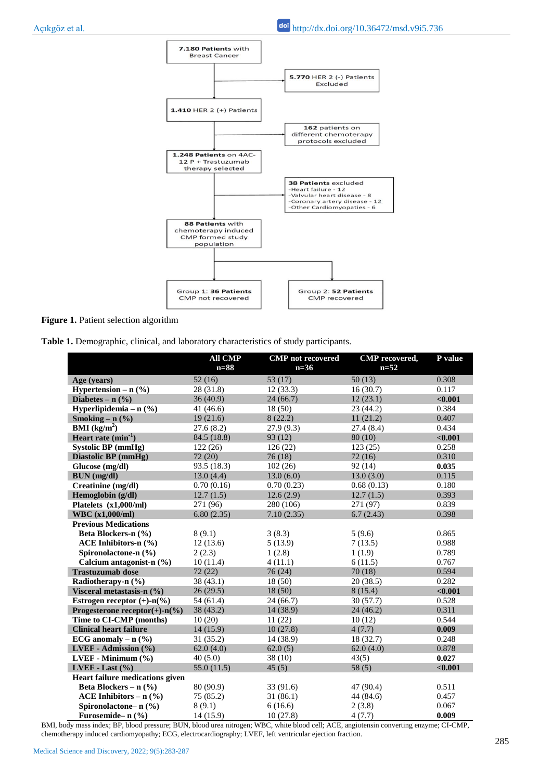

**Figure 1.** Patient selection algorithm

**Table 1.** Demographic, clinical, and laboratory characteristics of study participants.

|                                   | <b>All CMP</b><br>$n=88$ | <b>CMP</b> not recovered<br>$n=36$ | <b>CMP</b> recovered,<br>$n=52$ | P value |
|-----------------------------------|--------------------------|------------------------------------|---------------------------------|---------|
| Age (years)                       | 52(16)                   | 53 (17)                            | 50(13)                          | 0.308   |
| Hypertension – $n$ (%)            | 28 (31.8)                | 12(33.3)                           | 16(30.7)                        | 0.117   |
| Diabetes – $n$ $(\frac{9}{6})$    | 36(40.9)                 | 24(66.7)                           | 12(23.1)                        | < 0.001 |
| Hyperlipidemia – $n$ (%)          | 41 (46.6)                | 18(50)                             | 23(44.2)                        | 0.384   |
| Smoking – $n$ (%)                 | 19(21.6)                 | 8(22.2)                            | 11(21.2)                        | 0.407   |
| <b>BMI</b> ( $kg/m2$ )            | 27.6(8.2)                | 27.9(9.3)                          | 27.4(8.4)                       | 0.434   |
| Heart rate $(min^{-1})$           | 84.5 (18.8)              | 93 (12)                            | 80(10)                          | < 0.001 |
| <b>Systolic BP</b> (mmHg)         | 122(26)                  | 126(22)                            | 123(25)                         | 0.258   |
| Diastolic BP (mmHg)               | 72 (20)                  | 76(18)                             | 72(16)                          | 0.310   |
| Glucose (mg/dl)                   | 93.5 (18.3)              | 102(26)                            | 92(14)                          | 0.035   |
| <b>BUN</b> (mg/dl)                | 13.0(4.4)                | 13.0(6.0)                          | 13.0(3.0)                       | 0.115   |
| Creatinine (mg/dl)                | 0.70(0.16)               | 0.70(0.23)                         | 0.68(0.13)                      | 0.180   |
| Hemoglobin (g/dl)                 | 12.7(1.5)                | 12.6(2.9)                          | 12.7(1.5)                       | 0.393   |
| Platelets (x1,000/ml)             | 271 (96)                 | 280 (106)                          | 271 (97)                        | 0.839   |
| <b>WBC</b> (x1,000/ml)            | 6.80(2.35)               | 7.10(2.35)                         | 6.7(2.43)                       | 0.398   |
| <b>Previous Medications</b>       |                          |                                    |                                 |         |
| Beta Blockers-n (%)               | 8(9.1)                   | 3(8.3)                             | 5(9.6)                          | 0.865   |
| ACE Inhibitors-n $(\% )$          | 12(13.6)                 | 5(13.9)                            | 7(13.5)                         | 0.988   |
| Spironolactone-n (%)              | 2(2.3)                   | 1(2.8)                             | 1(1.9)                          | 0.789   |
| Calcium antagonist-n $(\% )$      | 10(11.4)                 | 4(11.1)                            | 6(11.5)                         | 0.767   |
| <b>Trastuzumab</b> dose           | 72(22)                   | 76 (24)                            | 70(18)                          | 0.594   |
| Radiotherapy-n (%)                | 38(43.1)                 | 18 (50)                            | 20(38.5)                        | 0.282   |
| Visceral metastasis-n (%)         | 26(29.5)                 | 18(50)                             | 8(15.4)                         | < 0.001 |
| Estrogen receptor $(+)$ -n $(\%)$ | 54 (61.4)                | 24(66.7)                           | 30(57.7)                        | 0.528   |
| Progesterone receptor(+)- $n$ (%) | 38 (43.2)                | 14 (38.9)                          | 24(46.2)                        | 0.311   |
| Time to CI-CMP (months)           | 10(20)                   | 11(22)                             | 10(12)                          | 0.544   |
| <b>Clinical heart failure</b>     | 14(15.9)                 | 10(27.8)                           | 4(7.7)                          | 0.009   |
| ECG anomaly $- n$ (%)             | 31(35.2)                 | 14 (38.9)                          | 18 (32.7)                       | 0.248   |
| LVEF - Admission $(\% )$          | 62.0(4.0)                | 62.0(5)                            | 62.0(4.0)                       | 0.878   |
| LVEF - Minimum (%)                | 40(5.0)                  | 38 (10)                            | 43(5)                           | 0.027   |
| LVEF - Last $(\% )$               | 55.0 (11.5)              | 45(5)                              | 58(5)                           | < 0.001 |
| Heart failure medications given   |                          |                                    |                                 |         |
| Beta Blockers – $n$ (%)           | 80 (90.9)                | 33 (91.6)                          | 47 (90.4)                       | 0.511   |
| ACE Inhibitors – $n$ (%)          | 75 (85.2)                | 31(86.1)                           | 44 (84.6)                       | 0.457   |
| Spironolactone- $n$ (%)           | 8(9.1)                   | 6(16.6)                            | 2(3.8)                          | 0.067   |
| Furosemide- n (%)                 | 14 (15.9)                | 10(27.8)                           | 4(7.7)                          | 0.009   |

BMI, body mass index; BP, blood pressure; BUN, blood urea nitrogen; WBC, white blood cell; ACE, angiotensin converting enzyme; CI-CMP, chemotherapy induced cardiomyopathy; ECG, electrocardiography; LVEF, left ventricular ejection fraction.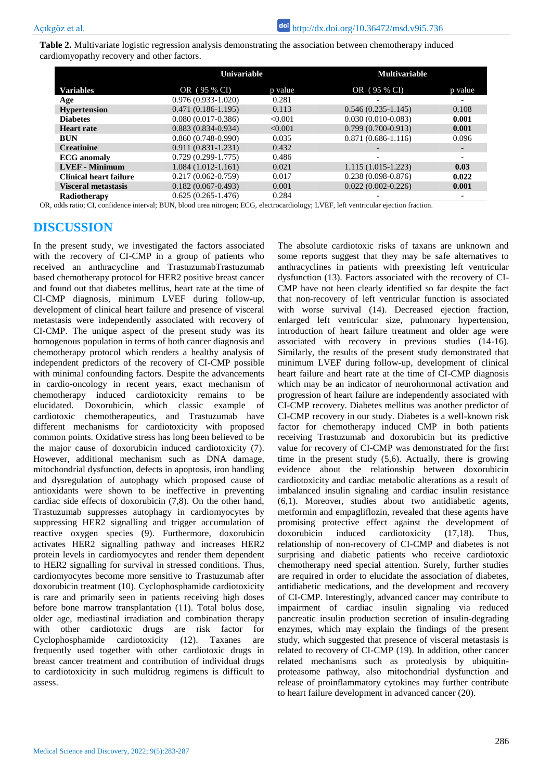**Table 2.** Multivariate logistic regression analysis demonstrating the association between chemotherapy induced cardiomyopathy recovery and other factors.

|                               |                        | Univariable |                        | <b>Multivariable</b>     |  |
|-------------------------------|------------------------|-------------|------------------------|--------------------------|--|
| <b>Variables</b>              | OR (95 % CI)           | p value     | OR (95 % CI)           | p value                  |  |
| Age                           | $0.976(0.933 - 1.020)$ | 0.281       |                        |                          |  |
| <b>Hypertension</b>           | $0.471(0.186-1.195)$   | 0.113       | $0.546(0.235-1.145)$   | 0.108                    |  |
| <b>Diabetes</b>               | $0.080(0.017-0.386)$   | < 0.001     | $0.030(0.010 - 0.083)$ | 0.001                    |  |
| <b>Heart rate</b>             | $0.883(0.834 - 0.934)$ | < 0.001     | $0.799(0.700 - 0.913)$ | 0.001                    |  |
| BUN                           | $0.860(0.748-0.990)$   | 0.035       | $0.871(0.686-1.116)$   | 0.096                    |  |
| <b>Creatinine</b>             | $0.911(0.831 - 1.231)$ | 0.432       |                        | $\overline{\phantom{0}}$ |  |
| <b>ECG</b> anomaly            | $0.729(0.299-1.775)$   | 0.486       |                        | -                        |  |
| <b>LVEF</b> - Minimum         | $1.084(1.012-1.161)$   | 0.021       | $1.115(1.015-1.223)$   | 0.03                     |  |
| <b>Clinical heart failure</b> | $0.217(0.062 - 0.759)$ | 0.017       | $0.238(0.098-0.876)$   | 0.022                    |  |
| <b>Visceral metastasis</b>    | $0.182(0.067-0.493)$   | 0.001       | $0.022(0.002 - 0.226)$ | 0.001                    |  |
| Radiotherapy                  | $0.625(0.265 - 1.476)$ | 0.284       |                        | -                        |  |

OR, odds ratio; CI, confidence interval; BUN, blood urea nitrogen; ECG, electrocardiology; LVEF, left ventricular ejection fraction.

# **DISCUSSION**

In the present study, we investigated the factors associated with the recovery of CI-CMP in a group of patients who received an anthracycline and TrastuzumabTrastuzumab based chemotherapy protocol for HER2 positive breast cancer and found out that diabetes mellitus, heart rate at the time of CI-CMP diagnosis, minimum LVEF during follow-up, development of clinical heart failure and presence of visceral metastasis were independently associated with recovery of CI-CMP. The unique aspect of the present study was its homogenous population in terms of both cancer diagnosis and chemotherapy protocol which renders a healthy analysis of independent predictors of the recovery of CI-CMP possible with minimal confounding factors. Despite the advancements in cardio-oncology in recent years, exact mechanism of chemotherapy induced cardiotoxicity remains to be elucidated. Doxorubicin, which classic example of cardiotoxic chemotherapeutics, and Trastuzumab have different mechanisms for cardiotoxicity with proposed common points. Oxidative stress has long been believed to be the major cause of doxorubicin induced cardiotoxicity (7). However, additional mechanism such as DNA damage, mitochondrial dysfunction, defects in apoptosis, iron handling and dysregulation of autophagy which proposed cause of antioxidants were shown to be ineffective in preventing cardiac side effects of doxorubicin (7,8). On the other hand, Trastuzumab suppresses autophagy in cardiomyocytes by suppressing HER2 signalling and trigger accumulation of reactive oxygen species (9). Furthermore, doxorubicin activates HER2 signalling pathway and increases HER2 protein levels in cardiomyocytes and render them dependent to HER2 signalling for survival in stressed conditions. Thus, cardiomyocytes become more sensitive to Trastuzumab after doxorubicin treatment (10). Cyclophosphamide cardiotoxicity is rare and primarily seen in patients receiving high doses before bone marrow transplantation (11). Total bolus dose, older age, mediastinal irradiation and combination therapy with other cardiotoxic drugs are risk factor for Cyclophosphamide cardiotoxicity (12). Taxanes are frequently used together with other cardiotoxic drugs in breast cancer treatment and contribution of individual drugs to cardiotoxicity in such multidrug regimens is difficult to assess.

The absolute cardiotoxic risks of taxans are unknown and some reports suggest that they may be safe alternatives to anthracyclines in patients with preexisting left ventricular dysfunction (13). Factors associated with the recovery of CI-CMP have not been clearly identified so far despite the fact that non-recovery of left ventricular function is associated with worse survival (14). Decreased ejection fraction, enlarged left ventricular size, pulmonary hypertension, introduction of heart failure treatment and older age were associated with recovery in previous studies (14-16). Similarly, the results of the present study demonstrated that minimum LVEF during follow-up, development of clinical heart failure and heart rate at the time of CI-CMP diagnosis which may be an indicator of neurohormonal activation and progression of heart failure are independently associated with CI-CMP recovery. Diabetes mellitus was another predictor of CI-CMP recovery in our study. Diabetes is a well-known risk factor for chemotherapy induced CMP in both patients receiving Trastuzumab and doxorubicin but its predictive value for recovery of CI-CMP was demonstrated for the first time in the present study (5,6). Actually, there is growing evidence about the relationship between doxorubicin cardiotoxicity and cardiac metabolic alterations as a result of imbalanced insulin signaling and cardiac insulin resistance (6,1). Moreover, studies about two antidiabetic agents, metformin and empagliflozin, revealed that these agents have promising protective effect against the development of doxorubicin induced cardiotoxicity (17,18). Thus, relationship of non-recovery of CI-CMP and diabetes is not surprising and diabetic patients who receive cardiotoxic chemotherapy need special attention. Surely, further studies are required in order to elucidate the association of diabetes, antidiabetic medications, and the development and recovery of CI-CMP. Interestingly, advanced cancer may contribute to impairment of cardiac insulin signaling via reduced pancreatic insulin production secretion of insulin-degrading enzymes, which may explain the findings of the present study, which suggested that presence of visceral metastasis is related to recovery of CI-CMP (19). In addition, other cancer related mechanisms such as proteolysis by ubiquitinproteasome pathway, also mitochondrial dysfunction and release of proinflammatory cytokines may further contribute to heart failure development in advanced cancer (20).